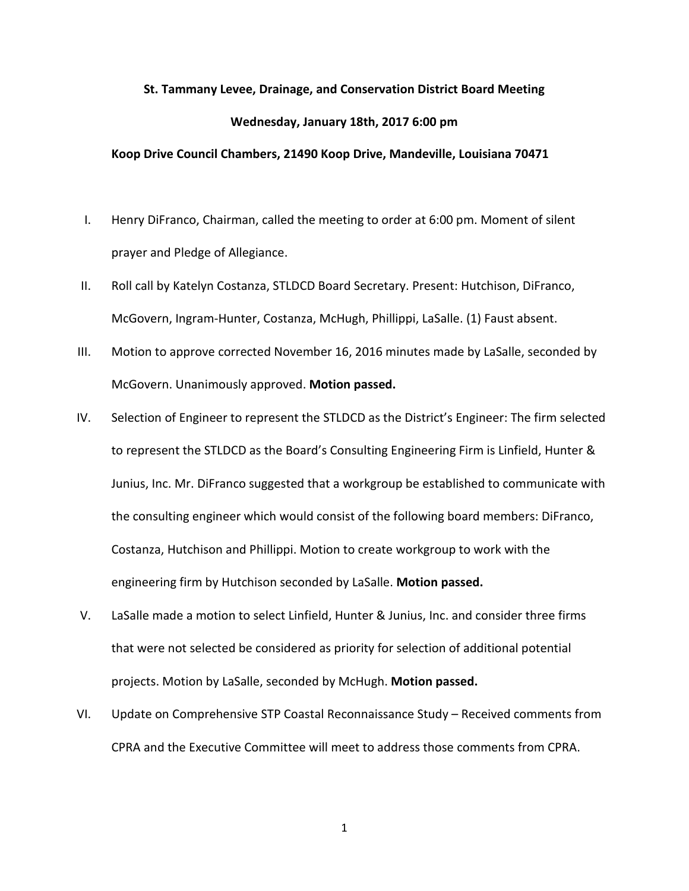## **St. Tammany Levee, Drainage, and Conservation District Board Meeting Wednesday, January 18th, 2017 6:00 pm**

## **Koop Drive Council Chambers, 21490 Koop Drive, Mandeville, Louisiana 70471**

- I. Henry DiFranco, Chairman, called the meeting to order at 6:00 pm. Moment of silent prayer and Pledge of Allegiance.
- II. Roll call by Katelyn Costanza, STLDCD Board Secretary. Present: Hutchison, DiFranco, McGovern, Ingram-Hunter, Costanza, McHugh, Phillippi, LaSalle. (1) Faust absent.
- III. Motion to approve corrected November 16, 2016 minutes made by LaSalle, seconded by McGovern. Unanimously approved. **Motion passed.**
- IV. Selection of Engineer to represent the STLDCD as the District's Engineer: The firm selected to represent the STLDCD as the Board's Consulting Engineering Firm is Linfield, Hunter & Junius, Inc. Mr. DiFranco suggested that a workgroup be established to communicate with the consulting engineer which would consist of the following board members: DiFranco, Costanza, Hutchison and Phillippi. Motion to create workgroup to work with the engineering firm by Hutchison seconded by LaSalle. **Motion passed.**
- V. LaSalle made a motion to select Linfield, Hunter & Junius, Inc. and consider three firms that were not selected be considered as priority for selection of additional potential projects. Motion by LaSalle, seconded by McHugh. **Motion passed.**
- VI. Update on Comprehensive STP Coastal Reconnaissance Study Received comments from CPRA and the Executive Committee will meet to address those comments from CPRA.

1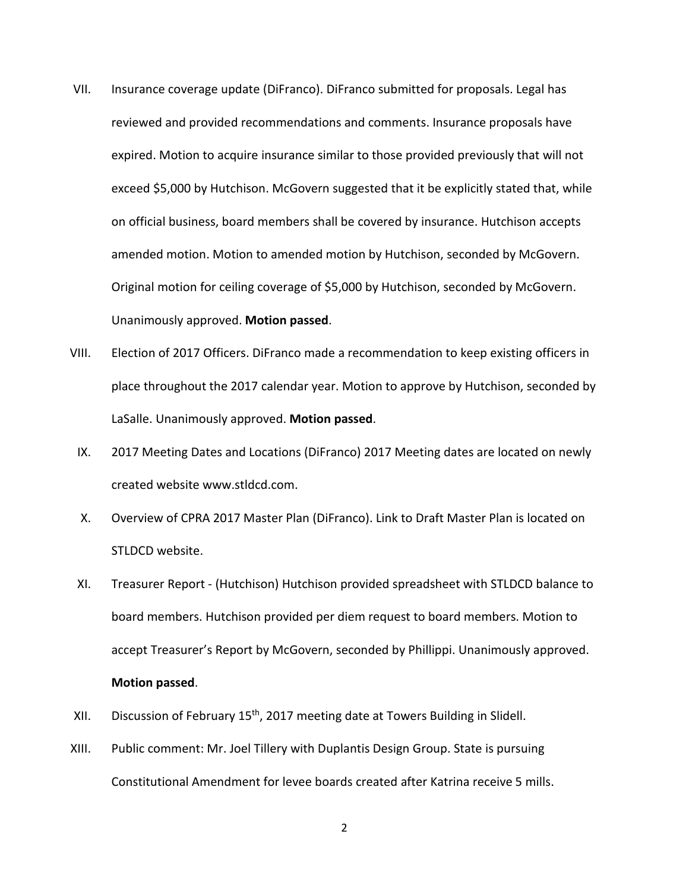- VII. Insurance coverage update (DiFranco). DiFranco submitted for proposals. Legal has reviewed and provided recommendations and comments. Insurance proposals have expired. Motion to acquire insurance similar to those provided previously that will not exceed \$5,000 by Hutchison. McGovern suggested that it be explicitly stated that, while on official business, board members shall be covered by insurance. Hutchison accepts amended motion. Motion to amended motion by Hutchison, seconded by McGovern. Original motion for ceiling coverage of \$5,000 by Hutchison, seconded by McGovern. Unanimously approved. **Motion passed**.
- VIII. Election of 2017 Officers. DiFranco made a recommendation to keep existing officers in place throughout the 2017 calendar year. Motion to approve by Hutchison, seconded by LaSalle. Unanimously approved. **Motion passed**.
	- IX. 2017 Meeting Dates and Locations (DiFranco) 2017 Meeting dates are located on newly created website www.stldcd.com.
	- X. Overview of CPRA 2017 Master Plan (DiFranco). Link to Draft Master Plan is located on STLDCD website.
	- XI. Treasurer Report (Hutchison) Hutchison provided spreadsheet with STLDCD balance to board members. Hutchison provided per diem request to board members. Motion to accept Treasurer's Report by McGovern, seconded by Phillippi. Unanimously approved. **Motion passed**.
- XII. Discussion of February 15<sup>th</sup>, 2017 meeting date at Towers Building in Slidell.
- XIII. Public comment: Mr. Joel Tillery with Duplantis Design Group. State is pursuing Constitutional Amendment for levee boards created after Katrina receive 5 mills.